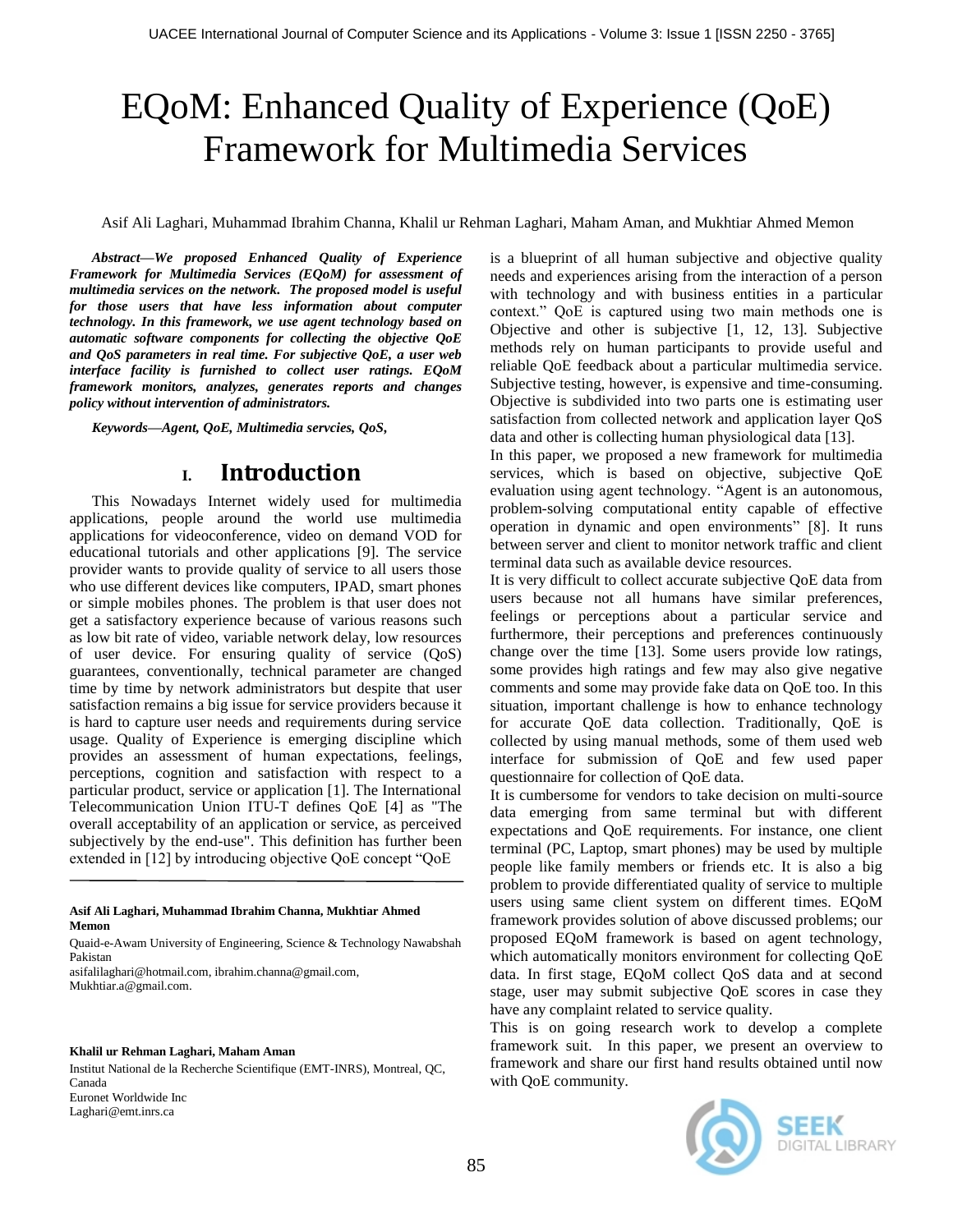# EQoM: Enhanced Quality of Experience (QoE) Framework for Multimedia Services

Asif Ali Laghari, Muhammad Ibrahim Channa, Khalil ur Rehman Laghari, Maham Aman, and Mukhtiar Ahmed Memon

*Abstract—We proposed Enhanced Quality of Experience Framework for Multimedia Services (EQoM) for assessment of multimedia services on the network. The proposed model is useful for those users that have less information about computer technology. In this framework, we use agent technology based on automatic software components for collecting the objective QoE and QoS parameters in real time. For subjective QoE, a user web interface facility is furnished to collect user ratings. EQoM framework monitors, analyzes, generates reports and changes policy without intervention of administrators.* 

*Keywords—Agent, QoE, Multimedia servcies, QoS,*

### **I. Introduction**

This Nowadays Internet widely used for multimedia applications, people around the world use multimedia applications for videoconference, video on demand VOD for educational tutorials and other applications [9]. The service provider wants to provide quality of service to all users those who use different devices like computers, IPAD, smart phones or simple mobiles phones. The problem is that user does not get a satisfactory experience because of various reasons such as low bit rate of video, variable network delay, low resources of user device. For ensuring quality of service (QoS) guarantees, conventionally, technical parameter are changed time by time by network administrators but despite that user satisfaction remains a big issue for service providers because it is hard to capture user needs and requirements during service usage. Quality of Experience is emerging discipline which provides an assessment of human expectations, feelings, perceptions, cognition and satisfaction with respect to a particular product, service or application [1]. The International Telecommunication Union ITU-T defines QoE [4] as "The overall acceptability of an application or service, as perceived subjectively by the end-use". This definition has further been extended in [12] by introducing objective QoE concept "QoE

#### **Asif Ali Laghari, Muhammad Ibrahim Channa, Mukhtiar Ahmed Memon**

Quaid-e-Awam University of Engineering, Science & Technology Nawabshah Pakistan

asifalilaghari@hotmail.com, ibrahim.channa@gmail.com, Mukhtiar.a@gmail.com.

#### **Khalil ur Rehman Laghari, Maham Aman**

Institut National de la Recherche Scientifique (EMT-INRS), Montreal, QC, Canada Euronet Worldwide Inc Laghari@emt.inrs.ca

is a blueprint of all human subjective and objective quality needs and experiences arising from the interaction of a person with technology and with business entities in a particular context." QoE is captured using two main methods one is Objective and other is subjective [1, 12, 13]. Subjective methods rely on human participants to provide useful and reliable QoE feedback about a particular multimedia service. Subjective testing, however, is expensive and time-consuming. Objective is subdivided into two parts one is estimating user satisfaction from collected network and application layer QoS data and other is collecting human physiological data [13].

In this paper, we proposed a new framework for multimedia services, which is based on objective, subjective QoE evaluation using agent technology. "Agent is an autonomous, problem-solving computational entity capable of effective operation in dynamic and open environments" [8]. It runs between server and client to monitor network traffic and client terminal data such as available device resources.

It is very difficult to collect accurate subjective QoE data from users because not all humans have similar preferences, feelings or perceptions about a particular service and furthermore, their perceptions and preferences continuously change over the time [13]. Some users provide low ratings, some provides high ratings and few may also give negative comments and some may provide fake data on QoE too. In this situation, important challenge is how to enhance technology for accurate QoE data collection. Traditionally, QoE is collected by using manual methods, some of them used web interface for submission of QoE and few used paper questionnaire for collection of QoE data.

It is cumbersome for vendors to take decision on multi-source data emerging from same terminal but with different expectations and QoE requirements. For instance, one client terminal (PC, Laptop, smart phones) may be used by multiple people like family members or friends etc. It is also a big problem to provide differentiated quality of service to multiple users using same client system on different times. EQoM framework provides solution of above discussed problems; our proposed EQoM framework is based on agent technology, which automatically monitors environment for collecting QoE data. In first stage, EQoM collect QoS data and at second stage, user may submit subjective QoE scores in case they have any complaint related to service quality.

This is on going research work to develop a complete framework suit. In this paper, we present an overview to framework and share our first hand results obtained until now with QoE community.

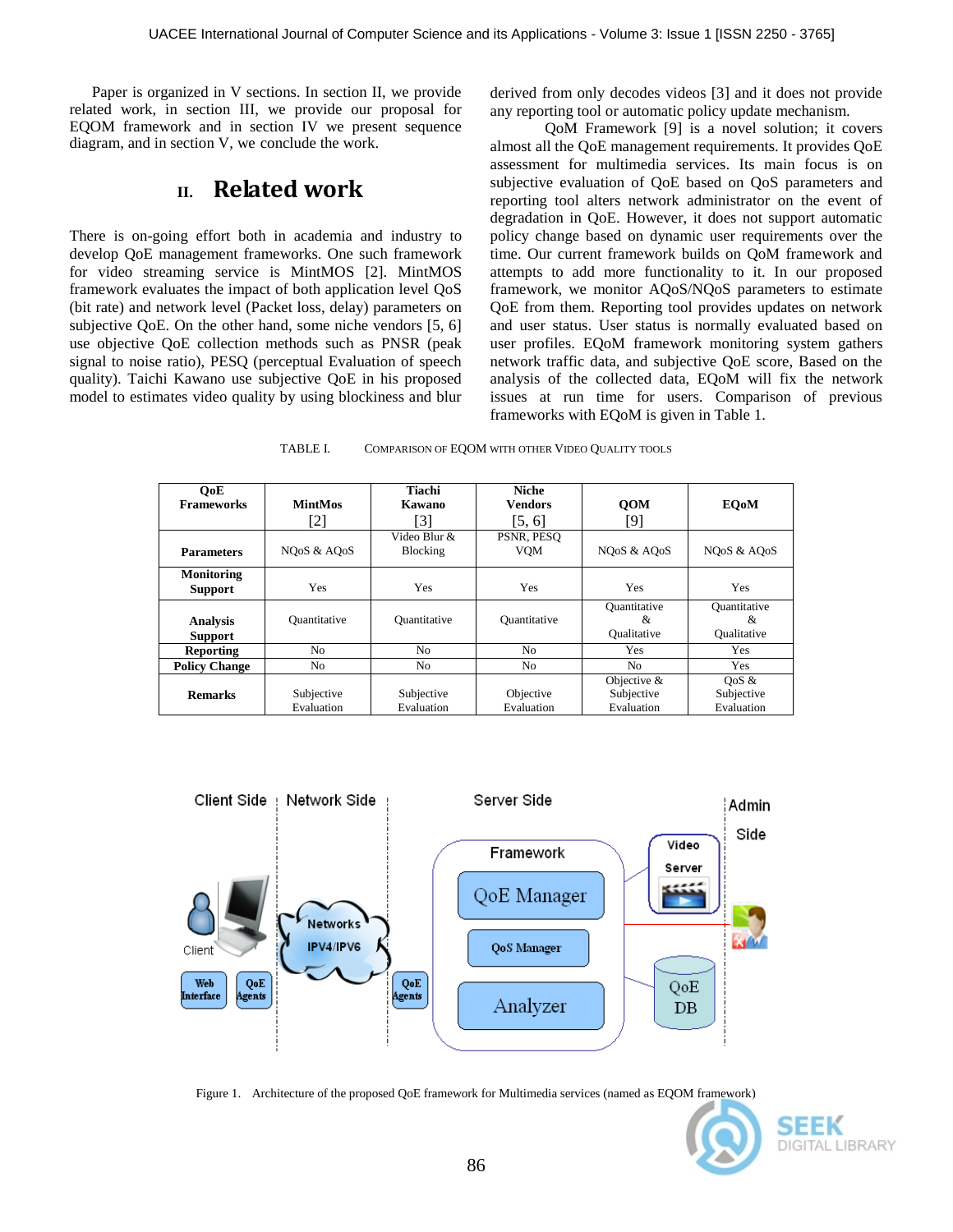Paper is organized in V sections. In section II, we provide related work, in section III, we provide our proposal for EQOM framework and in section IV we present sequence diagram, and in section V, we conclude the work.

### **II. Related work**

There is on-going effort both in academia and industry to develop QoE management frameworks. One such framework for video streaming service is MintMOS [2]. MintMOS framework evaluates the impact of both application level QoS (bit rate) and network level (Packet loss, delay) parameters on subjective QoE. On the other hand, some niche vendors [5, 6] use objective QoE collection methods such as PNSR (peak signal to noise ratio), PESQ (perceptual Evaluation of speech quality). Taichi Kawano use subjective QoE in his proposed model to estimates video quality by using blockiness and blur derived from only decodes videos [3] and it does not provide any reporting tool or automatic policy update mechanism.

 QoM Framework [9] is a novel solution; it covers almost all the QoE management requirements. It provides QoE assessment for multimedia services. Its main focus is on subjective evaluation of QoE based on QoS parameters and reporting tool alters network administrator on the event of degradation in QoE. However, it does not support automatic policy change based on dynamic user requirements over the time. Our current framework builds on QoM framework and attempts to add more functionality to it. In our proposed framework, we monitor AQoS/NQoS parameters to estimate QoE from them. Reporting tool provides updates on network and user status. User status is normally evaluated based on user profiles. EQoM framework monitoring system gathers network traffic data, and subjective QoE score, Based on the analysis of the collected data, EQoM will fix the network issues at run time for users. Comparison of previous frameworks with EQoM is given in Table 1.

| TABLE I. | COMPARISON OF EQOM WITH OTHER VIDEO QUALITY TOOLS |  |
|----------|---------------------------------------------------|--|
|          |                                                   |  |

| OoE<br><b>Frameworks</b>            | <b>MintMos</b><br>[2]                 | Tiachi<br>Kawano<br>[3]  | <b>Niche</b><br><b>Vendors</b><br>[5, 6] | <b>OOM</b><br>[9]                         | <b>EOoM</b>                               |
|-------------------------------------|---------------------------------------|--------------------------|------------------------------------------|-------------------------------------------|-------------------------------------------|
| <b>Parameters</b>                   | NO <sub>o</sub> S & AO <sub>o</sub> S | Video Blur &<br>Blocking | PSNR, PESO<br><b>VOM</b>                 | NOoS & AOoS                               | NOoS & AOoS                               |
| <b>Monitoring</b><br><b>Support</b> | Yes                                   | Yes                      | Yes                                      | Yes                                       | Yes                                       |
| <b>Analysis</b><br><b>Support</b>   | Quantitative                          | Quantitative             | Quantitative                             | Ouantitative<br>&<br>Oualitative          | <b>Quantitative</b><br>&<br>Oualitative   |
| <b>Reporting</b>                    | No                                    | N <sub>o</sub>           | No.                                      | Yes                                       | Yes                                       |
| <b>Policy Change</b>                | No                                    | N <sub>o</sub>           | No                                       | N <sub>0</sub>                            | <b>Yes</b>                                |
| <b>Remarks</b>                      | Subjective<br>Evaluation              | Subjective<br>Evaluation | Objective<br>Evaluation                  | Objective $&$<br>Subjective<br>Evaluation | $\cos \alpha$<br>Subjective<br>Evaluation |



Figure 1. Architecture of the proposed QoE framework for Multimedia services (named as EQOM framework)

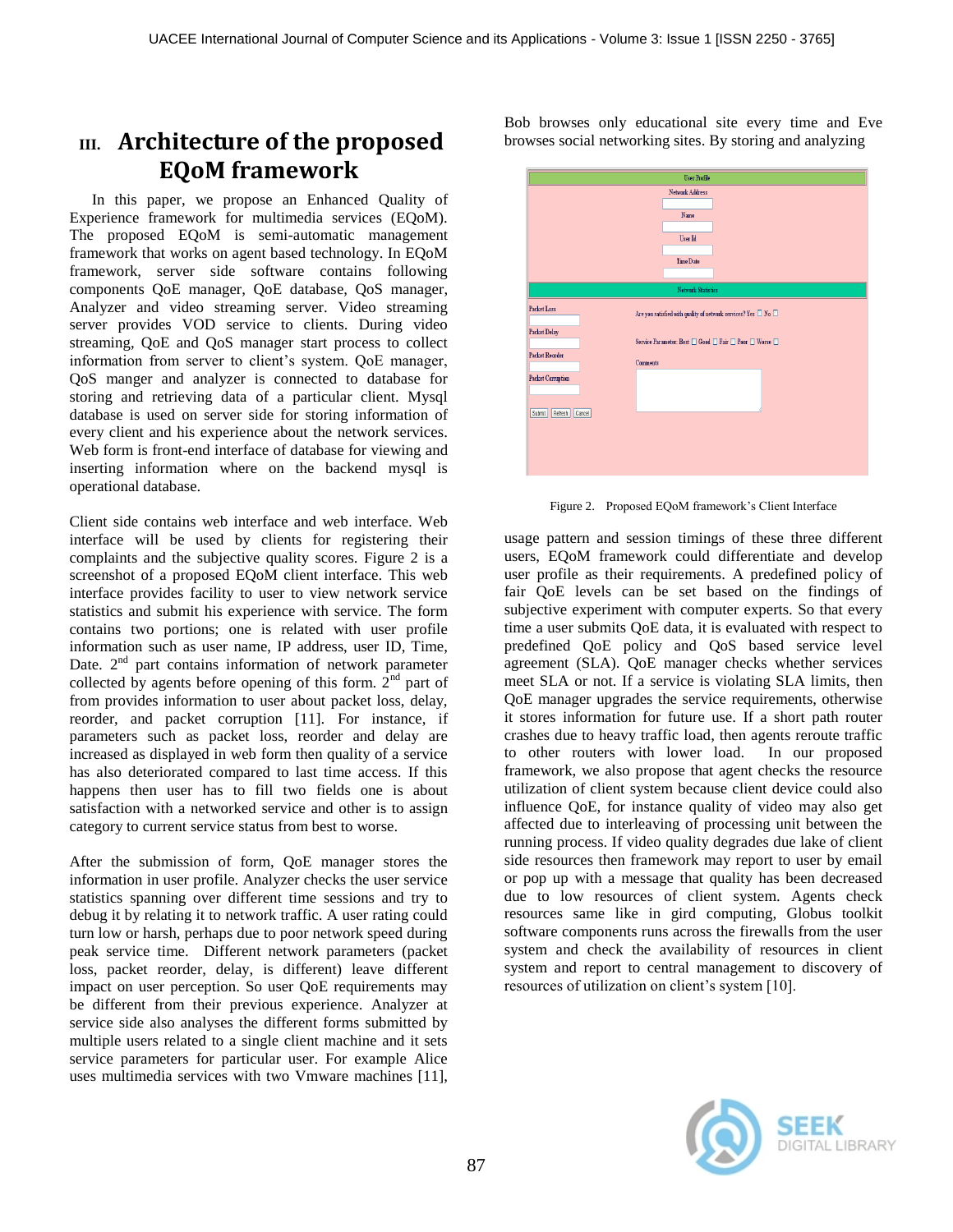# **III. Architecture of the proposed EQoM framework**

In this paper, we propose an Enhanced Quality of Experience framework for multimedia services (EQoM). The proposed EQoM is semi-automatic management framework that works on agent based technology. In EQoM framework, server side software contains following components QoE manager, QoE database, QoS manager, Analyzer and video streaming server. Video streaming server provides VOD service to clients. During video streaming, QoE and QoS manager start process to collect information from server to client's system. QoE manager, QoS manger and analyzer is connected to database for storing and retrieving data of a particular client. Mysql database is used on server side for storing information of every client and his experience about the network services. Web form is front-end interface of database for viewing and inserting information where on the backend mysql is operational database.

Client side contains web interface and web interface. Web interface will be used by clients for registering their complaints and the subjective quality scores. Figure 2 is a screenshot of a proposed EQoM client interface. This web interface provides facility to user to view network service statistics and submit his experience with service. The form contains two portions; one is related with user profile information such as user name, IP address, user ID, Time, Date.  $2<sup>nd</sup>$  part contains information of network parameter collected by agents before opening of this form.  $2<sup>nd</sup>$  part of from provides information to user about packet loss, delay, reorder, and packet corruption [11]. For instance, if parameters such as packet loss, reorder and delay are increased as displayed in web form then quality of a service has also deteriorated compared to last time access. If this happens then user has to fill two fields one is about satisfaction with a networked service and other is to assign category to current service status from best to worse.

After the submission of form, QoE manager stores the information in user profile. Analyzer checks the user service statistics spanning over different time sessions and try to debug it by relating it to network traffic. A user rating could turn low or harsh, perhaps due to poor network speed during peak service time. Different network parameters (packet loss, packet reorder, delay, is different) leave different impact on user perception. So user QoE requirements may be different from their previous experience. Analyzer at service side also analyses the different forms submitted by multiple users related to a single client machine and it sets service parameters for particular user. For example Alice uses multimedia services with two Vmware machines [11], Bob browses only educational site every time and Eve browses social networking sites. By storing and analyzing



Figure 2. Proposed EQoM framework's Client Interface

usage pattern and session timings of these three different users, EQoM framework could differentiate and develop user profile as their requirements. A predefined policy of fair QoE levels can be set based on the findings of subjective experiment with computer experts. So that every time a user submits QoE data, it is evaluated with respect to predefined QoE policy and QoS based service level agreement (SLA). QoE manager checks whether services meet SLA or not. If a service is violating SLA limits, then QoE manager upgrades the service requirements, otherwise it stores information for future use. If a short path router crashes due to heavy traffic load, then agents reroute traffic to other routers with lower load. In our proposed framework, we also propose that agent checks the resource utilization of client system because client device could also influence QoE, for instance quality of video may also get affected due to interleaving of processing unit between the running process. If video quality degrades due lake of client side resources then framework may report to user by email or pop up with a message that quality has been decreased due to low resources of client system. Agents check resources same like in gird computing, Globus toolkit software components runs across the firewalls from the user system and check the availability of resources in client system and report to central management to discovery of resources of utilization on client's system [10].

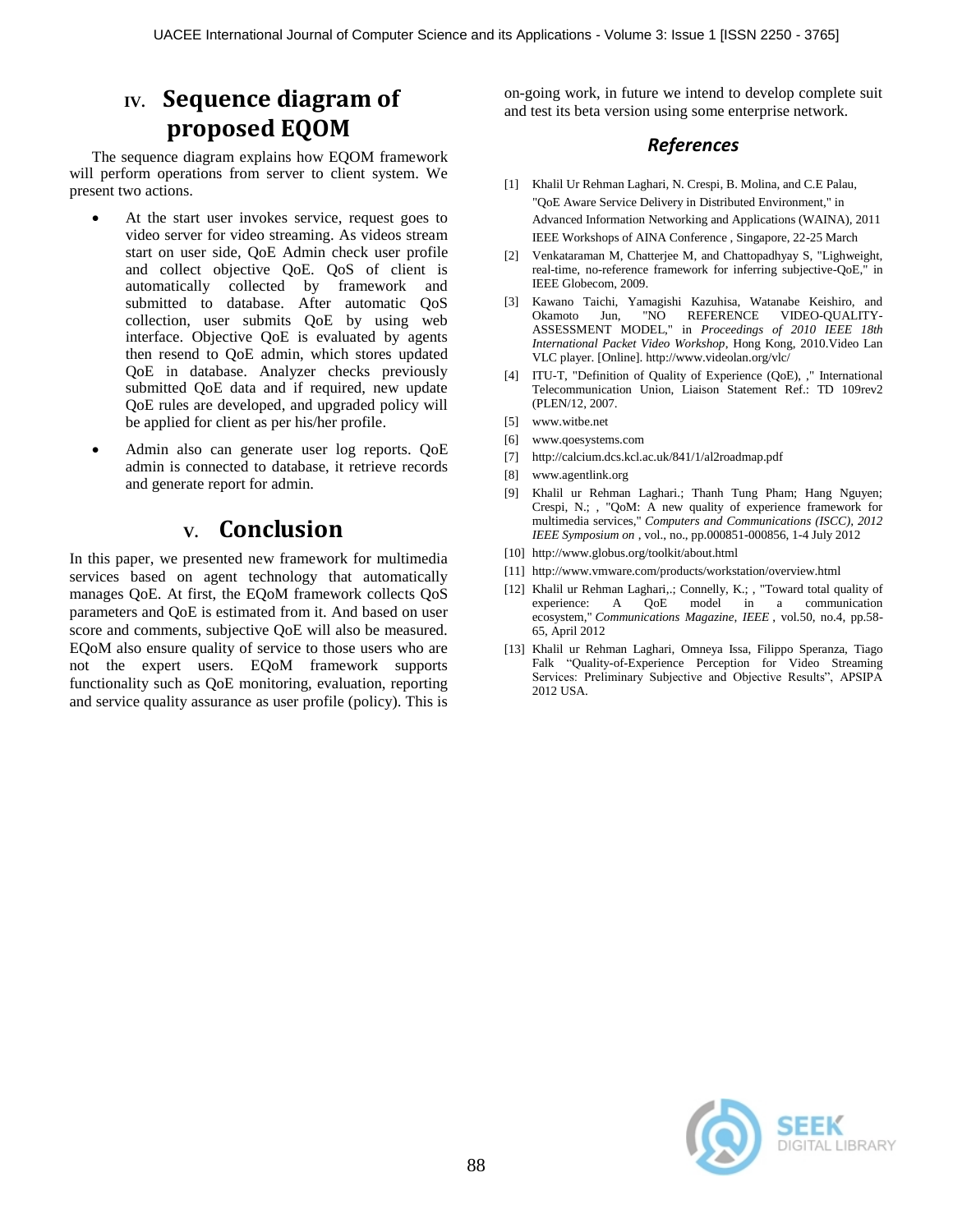# **IV. Sequence diagram of proposed EQOM**

The sequence diagram explains how EQOM framework will perform operations from server to client system. We present two actions.

- At the start user invokes service, request goes to video server for video streaming. As videos stream start on user side, QoE Admin check user profile and collect objective QoE. QoS of client is automatically collected by framework and submitted to database. After automatic QoS collection, user submits QoE by using web interface. Objective QoE is evaluated by agents then resend to QoE admin, which stores updated QoE in database. Analyzer checks previously submitted QoE data and if required, new update QoE rules are developed, and upgraded policy will be applied for client as per his/her profile.
- Admin also can generate user log reports. QoE admin is connected to database, it retrieve records and generate report for admin.

## **V. Conclusion**

In this paper, we presented new framework for multimedia services based on agent technology that automatically manages QoE. At first, the EQoM framework collects QoS parameters and QoE is estimated from it. And based on user score and comments, subjective QoE will also be measured. EQoM also ensure quality of service to those users who are not the expert users. EQoM framework supports functionality such as QoE monitoring, evaluation, reporting and service quality assurance as user profile (policy). This is on-going work, in future we intend to develop complete suit and test its beta version using some enterprise network.

### *References*

- [1] Khalil Ur Rehman Laghari, N. Crespi, B. Molina, and C.E Palau, "QoE Aware Service Delivery in Distributed Environment," in Advanced Information Networking and Applications (WAINA), 2011 IEEE Workshops of AINA Conference , Singapore, 22-25 March
- [2] Venkataraman M, Chatterjee M, and Chattopadhyay S, "Lighweight, real-time, no-reference framework for inferring subjective-QoE," in IEEE Globecom, 2009.
- [3] Kawano Taichi, Yamagishi Kazuhisa, Watanabe Keishiro, and Okamoto Jun, "NO REFERENCE VIDEO-QUALITY-ASSESSMENT MODEL," in *Proceedings of 2010 IEEE 18th International Packet Video Workshop*, Hong Kong, 2010.Video Lan VLC player. [Online]. http://www.videolan.org/vlc/
- [4] ITU-T, "Definition of Quality of Experience (QoE), ," International Telecommunication Union, Liaison Statement Ref.: TD 109rev2 (PLEN/12, 2007.
- [5] www.witbe.net
- [6] www.qoesystems.com
- [7] http://calcium.dcs.kcl.ac.uk/841/1/al2roadmap.pdf
- [8] www.agentlink.org
- [9] Khalil ur Rehman Laghari.; Thanh Tung Pham; Hang Nguyen; Crespi, N.; , "QoM: A new quality of experience framework for multimedia services," *Computers and Communications (ISCC), 2012 IEEE Symposium on* , vol., no., pp.000851-000856, 1-4 July 2012
- [10] http://www.globus.org/toolkit/about.html
- [11] http://www.vmware.com/products/workstation/overview.html
- [12] Khalil ur Rehman Laghari,.; Connelly, K.; , "Toward total quality of experience: A QoE model in a communication ecosystem," *Communications Magazine, IEEE* , vol.50, no.4, pp.58- 65, April 2012
- [13] Khalil ur Rehman Laghari, Omneya Issa, Filippo Speranza, Tiago Falk "Quality-of-Experience Perception for Video Streaming Services: Preliminary Subjective and Objective Results", APSIPA 2012 USA.